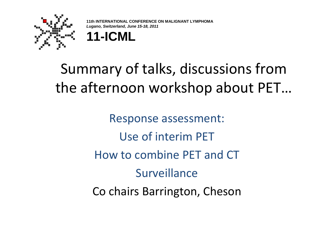

*ONAL CONFERENCE ON MALIGNANT LYMPHOMA* **Lugano, Switzerland, June 15-18, 2011**



# Summary of talks, discussions from the afternoon workshop about PET…

Response assessment:Use of interim PET How to combine PET and CT**Surveillance** Co chairs Barrington, Cheson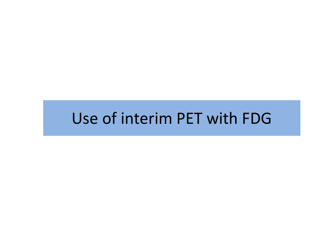# Use of interim PET with FDG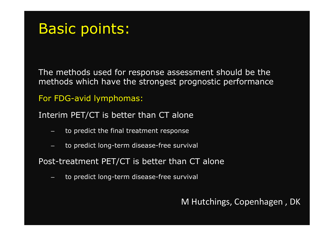## Basic points:

The methods used for response assessment should be the methods which have the strongest prognostic performance

#### For FDG-avid lymphomas:

Interim PET/CT is better than CT alone

- to predict the final treatment response
- to predict long-term disease-free survival

Post-treatment PET/CT is better than CT alone

to predict long-term disease-free survival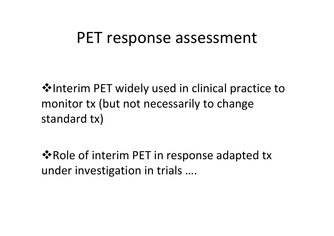## PET response assessment

**V**•Interim PET widely used in clinical practice to monitor tx (but not necessarily to change standard tx)

**\*** Role of interim PET in response adapted tx under investigation in trials ….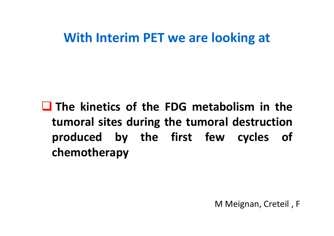### **With Interim PET we are looking at**

**The kinetics of the FDG metabolism in the tumoral sites during the tumoral destruction produced by the first few cycles of chemotherapy**

M Meignan, Creteil , F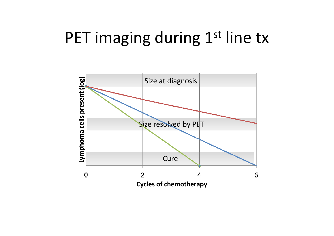# PET imaging during 1<sup>st</sup> line tx

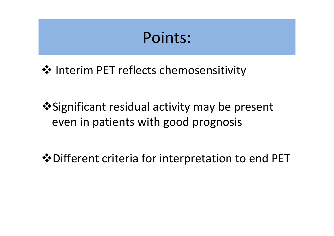# Points:

❖ Interim PET reflects chemosensitivity

 Significant residual activity may be present even in patients with good prognosis

 $\dots$  Different criteria for interpretation to end PET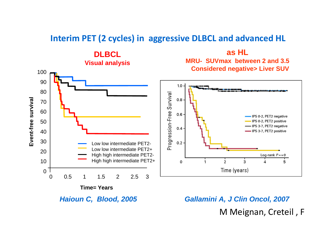#### **Interim PET (2 cycles) in aggressive DLBCL and advanced HL**



**Haioun C, Blood, 2005 Gallamini A, J Clin Oncol, 2007**

M Meignan, Creteil , F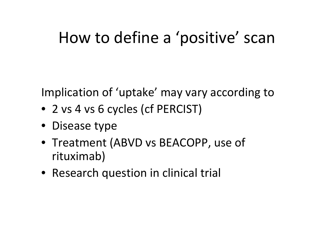# How to define a 'positive' scan

Implication of 'uptake' may vary according to

- 2 vs 4 vs 6 cycles (cf PERCIST)
- Disease type
- Treatment (ABVD vs BEACOPP, use of rituximab)
- Research question in clinical trial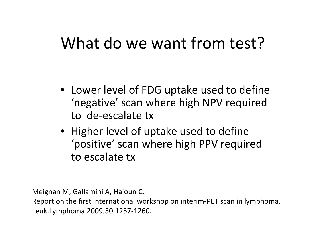# What do we want from test?

- Lower level of FDG uptake used to define 'negative' scan where high NPV required to de-escalate tx
- Higher level of uptake used to define 'positive' scan where high PPV required to escalate tx

Meignan M, Gallamini A, Haioun C.

Report on the first international workshop on interim-PET scan in lymphoma. Leuk.Lymphoma 2009;50:1257-1260.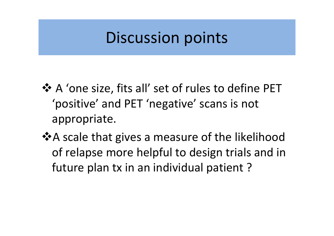# Discussion points

- \* A 'one size, fits all' set of rules to define PET<br>(positive' and PET 'perative' seaps is pot 'positive' and PET 'negative' scans is not appropriate.
- **\*** A scale that gives a measure of the likelihood of relapse more helpful to design trials and in future plan tx in an individual patient ?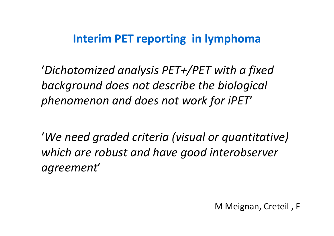#### **Interim PET reporting in lymphoma**

'*Dichotomized analysis PET+/PET with a fixed background does not describe the biological phenomenon and does not work for iPET*'

'*We need graded criteria (visual or quantitative) which are robust and have good interobserver agreement*'

M Meignan, Creteil , F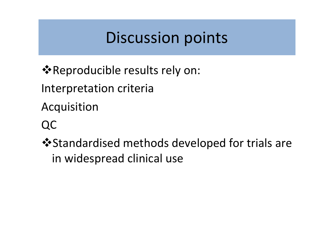# Discussion points

- **\*** Reproducible results rely on:
- Interpretation criteria
- Acquisition
- QC
- $\cdot$  **Standardised methods developed for trials are** in widespread clinical use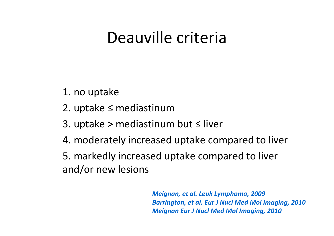# Deauville criteria

1. no uptake

- 2. uptake ≤ mediastinum
- 3. uptake > mediastinum but ≤ liver
- 4. moderately increased uptake compared to liver

5. markedly increased uptake compared to liver and/or new lesions

> *Meignan, et al. Leuk Lymphoma, 2009 Barrington, et al. Eur J Nucl Med Mol Imaging, 2010Meignan Eur J Nucl Med Mol Imaging, 2010*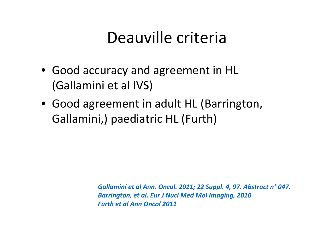# Deauville criteria

- Good accuracy and agreement in HL (Gallamini et al IVS)
- Good agreement in adult HL (Barrington, Gallamini,) paediatric HL (Furth)

*Gallamini et al Ann. Oncol. 2011; 22 Suppl. 4, 97. Abstract n° 047. Barrington, et al. Eur J Nucl Med Mol Imaging, 2010Furth et al Ann Oncol 2011*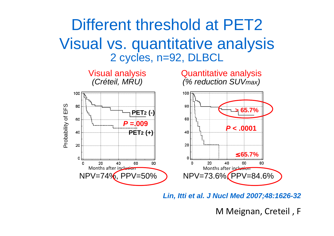## Different threshold at PET2 Visual vs. quantitative analysis2 cycles, n=92, DLBCL



**Lin, Itti et al. J Nucl Med 2007;48:1626-32**

M Meignan, Creteil , F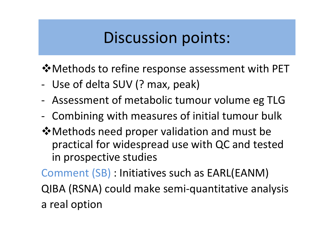# Discussion points:

 $\dots$  Methods to refine response assessment with PET

- -Use of delta SUV (? max, peak)
- -Assessment of metabolic tumour volume eg TLG
- -Combining with measures of initial tumour bulk
- Methods need proper validation and must be practical for widespread use with QC and tested in prospective studies

Comment (SB) : Initiatives such as EARL(EANM)

QIBA (RSNA) could make semi-quantitative analysisa real option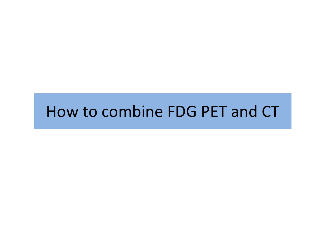# How to combine FDG PET and CT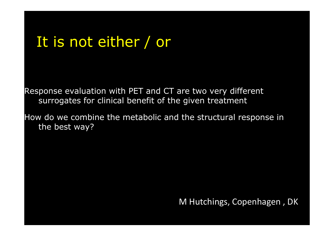## It is not either / or

Response evaluation with PET and CT are two very different surrogates for clinical benefit of the given treatment

How do we combine the metabolic and the structural response in the best way?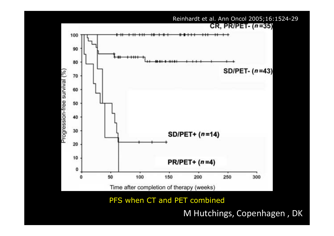

PFS when CT and PET combined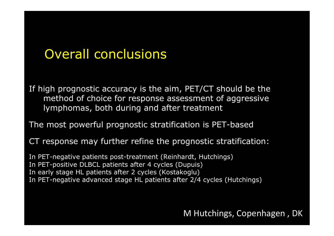### Overall conclusions

If high prognostic accuracy is the aim, PET/CT should be the method of choice for response assessment of aggressive lymphomas, both during and after treatment

The most powerful prognostic stratification is PET-based

CT response may further refine the prognostic stratification:

In PET-negative patients post-treatment (Reinhardt, Hutchings)In PET-positive DLBCL patients after 4 cycles (Dupuis) In early stage HL patients after 2 cycles (Kostakoglu)In PET-negative advanced stage HL patients after 2/4 cycles (Hutchings)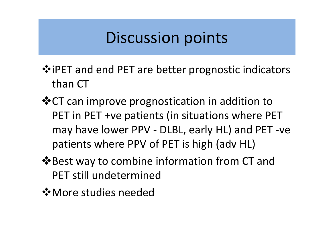# Discussion points

- $\dots$  iPET and end PET are better prognostic indicators than CT
- **V** CT can improve prognostication in addition to PET in PET +ve patients (in situations where PET may have lower PPV - DLBL, early HL) and PET -ve patients where PPV of PET is high (adv HL)
- $\triangle$ **Best way to combine information from CT and** PET still undetermined
- More studies needed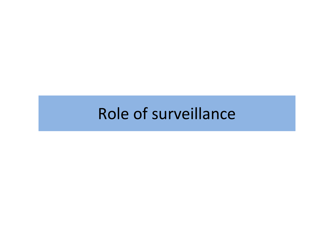# Role of surveillance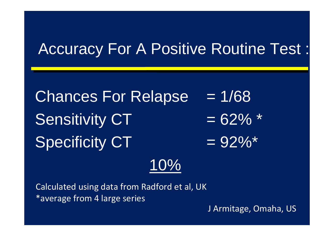## Accuracy For A Positive Routine Test :

Chances For Relapse  $= 1/68$ Sensitivity  $CT = 62\%$  \*  $Specificity CT$  = 92% $*$ 10%

 Calculated using data from Radford et al, UK\*average from 4 large series

J Armitage, Omaha, US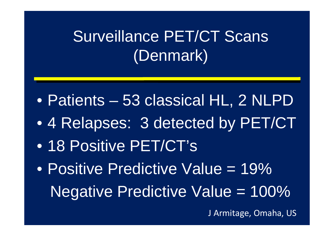# Surveillance PET/CT Scans (Denmark)

- $\bullet$ Patients – 53 classical HL, 2 NLPD
- •4 Relapses: 3 detected by PET/CT
- $\bullet$ 18 Positive PET/CT's
- $\bullet$ Positive Predictive Value = 19% Negative Predictive Value = 100%

J Armitage, Omaha, US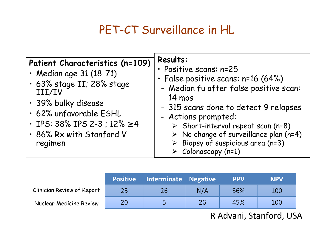### PET-CT Surveillance in HL

| Patient Characteristics (n=109)<br>$\cdot$ Median age 31 (18-71)<br>· 63% stage II; 28% stage<br>III/IV<br>· 39% bulky disease<br>· 62% unfavorable ESHL<br>• IPS: 38% IPS 2-3 ; 12% $\geq 4$<br>· 86% Rx with Stanford V<br>regimen | Results:<br>· Positive scans: n=25<br>· False positive scans: n=16 (64%)<br>- Median fu after false positive scan:<br>$14 \text{ mos}$<br>- 315 scans done to detect 9 relapses<br>- Actions prompted:<br>$\triangleright$ Short-interval repeat scan (n=8)<br>$\triangleright$ No change of surveillance plan (n=4)<br>$\triangleright$ Biopsy of suspicious area (n=3)<br>$\triangleright$ Colonoscopy (n=1) |
|--------------------------------------------------------------------------------------------------------------------------------------------------------------------------------------------------------------------------------------|----------------------------------------------------------------------------------------------------------------------------------------------------------------------------------------------------------------------------------------------------------------------------------------------------------------------------------------------------------------------------------------------------------------|
|--------------------------------------------------------------------------------------------------------------------------------------------------------------------------------------------------------------------------------------|----------------------------------------------------------------------------------------------------------------------------------------------------------------------------------------------------------------------------------------------------------------------------------------------------------------------------------------------------------------------------------------------------------------|

|                                   | <b>Positive</b> | <b>Interminate Negative</b> |     | <b>PPV</b> | <b>NPV</b> |
|-----------------------------------|-----------------|-----------------------------|-----|------------|------------|
| <b>Clinician Review of Report</b> | 25              | 26                          | N/A | 36%        | 100        |
| <b>Nuclear Medicine Review</b>    | 20              |                             | 26  | 45%        | <b>100</b> |

R Advani, Stanford, USA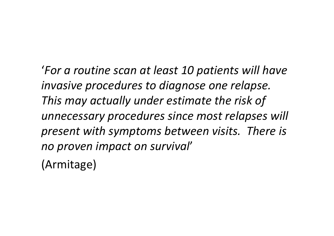'*For a routine scan at least 10 patients will have invasive procedures to diagnose one relapse. This may actually under estimate the risk of unnecessary procedures since most relapses will present with symptoms between visits. There is no proven impact on survival*'

(Armitage)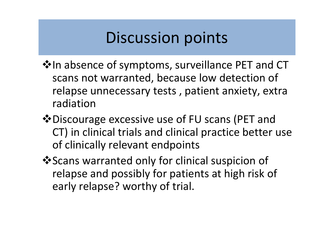# Discussion points

- $\dots$  In absence of symptoms, surveillance PET and CT scans not warranted, because low detection of relapse unnecessary tests , patient anxiety, extra radiation
- Discourage excessive use of FU scans (PET and CT) in clinical trials and clinical practice better use of clinically relevant endpoints
- ❖ Scans warranted only for clinical suspicion of relapse and possibly for patients at high risk of early relapse? worthy of trial.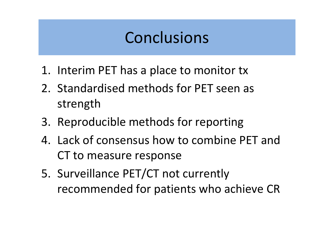# Conclusions

- 1. Interim PET has a place to monitor tx
- 2. Standardised methods for PET seen as strength
- 3. Reproducible methods for reporting
- 4. Lack of consensus how to combine PET and CT to measure response
- 5. Surveillance PET/CT not currently recommended for patients who achieve CR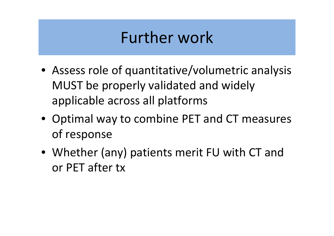# Further work

- Assess role of quantitative/volumetric analysis MUST be properly validated and widely applicable across all platforms
- Optimal way to combine PET and CT measures of response
- Whether (any) patients merit FU with CT and or PET after tx